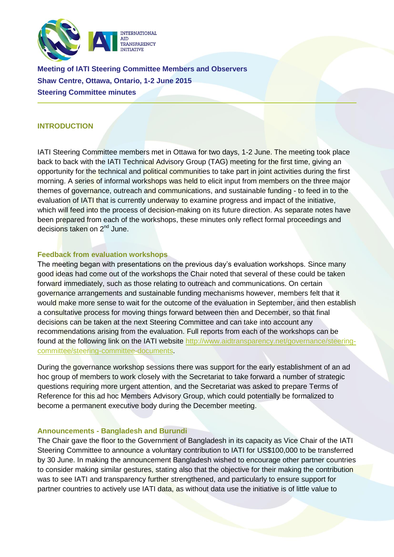

**Meeting of IATI Steering Committee Members and Observers Shaw Centre, Ottawa, Ontario, 1-2 June 2015 Steering Committee minutes**

# **INTRODUCTION**

IATI Steering Committee members met in Ottawa for two days, 1-2 June. The meeting took place back to back with the IATI Technical Advisory Group (TAG) meeting for the first time, giving an opportunity for the technical and political communities to take part in joint activities during the first morning. A series of informal workshops was held to elicit input from members on the three major themes of governance, outreach and communications, and sustainable funding - to feed in to the evaluation of IATI that is currently underway to examine progress and impact of the initiative, which will feed into the process of decision-making on its future direction. As separate notes have been prepared from each of the workshops, these minutes only reflect formal proceedings and decisions taken on 2nd June.

## **Feedback from evaluation workshops**

The meeting began with presentations on the previous day's evaluation workshops. Since many good ideas had come out of the workshops the Chair noted that several of these could be taken forward immediately, such as those relating to outreach and communications. On certain governance arrangements and sustainable funding mechanisms however, members felt that it would make more sense to wait for the outcome of the evaluation in September, and then establish a consultative process for moving things forward between then and December, so that final decisions can be taken at the next Steering Committee and can take into account any recommendations arising from the evaluation. Full reports from each of the workshops can be found at the following link on the IATI website [http://www.aidtransparency.net/governance/steering](http://www.aidtransparency.net/governance/steering-committee/steering-committee-documents)[committee/steering-committee-documents.](http://www.aidtransparency.net/governance/steering-committee/steering-committee-documents)

During the governance workshop sessions there was support for the early establishment of an ad hoc group of members to work closely with the Secretariat to take forward a number of strategic questions requiring more urgent attention, and the Secretariat was asked to prepare Terms of Reference for this ad hoc Members Advisory Group, which could potentially be formalized to become a permanent executive body during the December meeting.

#### **Announcements - Bangladesh and Burundi**

The Chair gave the floor to the Government of Bangladesh in its capacity as Vice Chair of the IATI Steering Committee to announce a voluntary contribution to IATI for US\$100,000 to be transferred by 30 June. In making the announcement Bangladesh wished to encourage other partner countries to consider making similar gestures, stating also that the objective for their making the contribution was to see IATI and transparency further strengthened, and particularly to ensure support for partner countries to actively use IATI data, as without data use the initiative is of little value to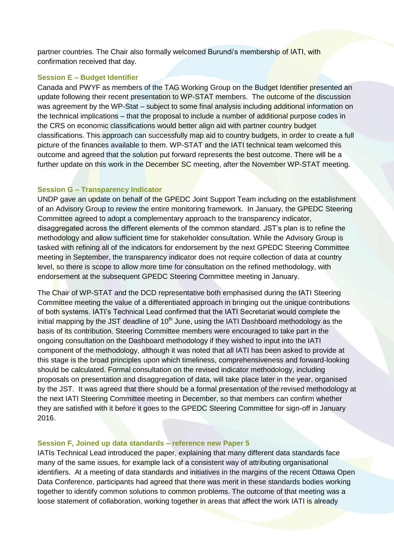partner countries. The Chair also formally welcomed Burundi's membership of IATI, with confirmation received that day.

## **Session E – Budget Identifier**

Canada and PWYF as members of the TAG Working Group on the Budget Identifier presented an update following their recent presentation to WP-STAT members. The outcome of the discussion was agreement by the WP-Stat – subject to some final analysis including additional information on the technical implications – that the proposal to include a number of additional purpose codes in the CRS on economic classifications would better align aid with partner country budget classifications. This approach can successfully map aid to country budgets, in order to create a full picture of the finances available to them. WP-STAT and the IATI technical team welcomed this outcome and agreed that the solution put forward represents the best outcome. There will be a further update on this work in the December SC meeting, after the November WP-STAT meeting.

### **Session G – Transparency Indicator**

UNDP gave an update on behalf of the GPEDC Joint Support Team including on the establishment of an Advisory Group to review the entire monitoring framework. In January, the GPEDC Steering Committee agreed to adopt a complementary approach to the transparency indicator, disaggregated across the different elements of the common standard. JST's plan is to refine the methodology and allow sufficient time for stakeholder consultation. While the Advisory Group is tasked with refining all of the indicators for endorsement by the next GPEDC Steering Committee meeting in September, the transparency indicator does not require collection of data at country level, so there is scope to allow more time for consultation on the refined methodology, with endorsement at the subsequent GPEDC Steering Committee meeting in January.

The Chair of WP-STAT and the DCD representative both emphasised during the IATI Steering Committee meeting the value of a differentiated approach in bringing out the unique contributions of both systems. IATI's Technical Lead confirmed that the IATI Secretariat would complete the initial mapping by the JST deadline of  $10<sup>th</sup>$  June, using the IATI Dashboard methodology as the basis of its contribution. Steering Committee members were encouraged to take part in the ongoing consultation on the Dashboard methodology if they wished to input into the IATI component of the methodology, although it was noted that all IATI has been asked to provide at this stage is the broad principles upon which timeliness, comprehensiveness and forward-looking should be calculated. Formal consultation on the revised indicator methodology, including proposals on presentation and disaggregation of data, will take place later in the year, organised by the JST. It was agreed that there should be a formal presentation of the revised methodology at the next IATI Steering Committee meeting in December, so that members can confirm whether they are satisfied with it before it goes to the GPEDC Steering Committee for sign-off in January 2016.

#### **Session F, Joined up data standards – reference new Paper 5**

IATIs Technical Lead introduced the paper, explaining that many different data standards face many of the same issues, for example lack of a consistent way of attributing organisational identifiers. At a meeting of data standards and initiatives in the margins of the recent Ottawa Open Data Conference, participants had agreed that there was merit in these standards bodies working together to identify common solutions to common problems. The outcome of that meeting was a loose statement of collaboration, working together in areas that affect the work IATI is already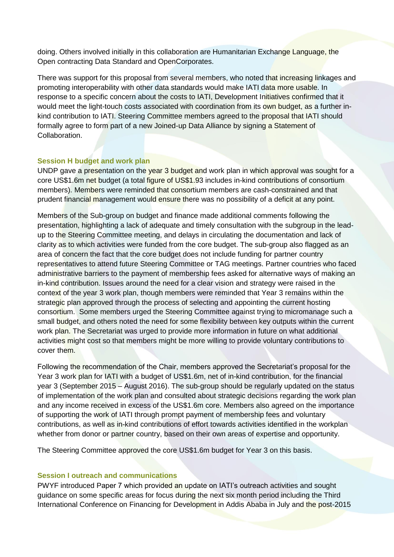doing. Others involved initially in this collaboration are Humanitarian Exchange Language, the Open contracting Data Standard and OpenCorporates.

There was support for this proposal from several members, who noted that increasing linkages and promoting interoperability with other data standards would make IATI data more usable. In response to a specific concern about the costs to IATI, Development Initiatives confirmed that it would meet the light-touch costs associated with coordination from its own budget, as a further inkind contribution to IATI. Steering Committee members agreed to the proposal that IATI should formally agree to form part of a new Joined-up Data Alliance by signing a Statement of Collaboration.

# **Session H budget and work plan**

UNDP gave a presentation on the year 3 budget and work plan in which approval was sought for a core US\$1.6m net budget (a total figure of US\$1.93 includes in-kind contributions of consortium members). Members were reminded that consortium members are cash-constrained and that prudent financial management would ensure there was no possibility of a deficit at any point.

Members of the Sub-group on budget and finance made additional comments following the presentation, highlighting a lack of adequate and timely consultation with the subgroup in the leadup to the Steering Committee meeting, and delays in circulating the documentation and lack of clarity as to which activities were funded from the core budget. The sub-group also flagged as an area of concern the fact that the core budget does not include funding for partner country representatives to attend future Steering Committee or TAG meetings. Partner countries who faced administrative barriers to the payment of membership fees asked for alternative ways of making an in-kind contribution. Issues around the need for a clear vision and strategy were raised in the context of the year 3 work plan, though members were reminded that Year 3 remains within the strategic plan approved through the process of selecting and appointing the current hosting consortium. Some members urged the Steering Committee against trying to micromanage such a small budget, and others noted the need for some flexibility between key outputs within the current work plan. The Secretariat was urged to provide more information in future on what additional activities might cost so that members might be more willing to provide voluntary contributions to cover them.

Following the recommendation of the Chair, members approved the Secretariat's proposal for the Year 3 work plan for IATI with a budget of US\$1.6m, net of in-kind contribution, for the financial year 3 (September 2015 – August 2016). The sub-group should be regularly updated on the status of implementation of the work plan and consulted about strategic decisions regarding the work plan and any income received in excess of the US\$1.6m core. Members also agreed on the importance of supporting the work of IATI through prompt payment of membership fees and voluntary contributions, as well as in-kind contributions of effort towards activities identified in the workplan whether from donor or partner country, based on their own areas of expertise and opportunity.

The Steering Committee approved the core US\$1.6m budget for Year 3 on this basis.

## **Session I outreach and communications**

PWYF introduced Paper 7 which provided an update on IATI's outreach activities and sought guidance on some specific areas for focus during the next six month period including the Third International Conference on Financing for Development in Addis Ababa in July and the post-2015